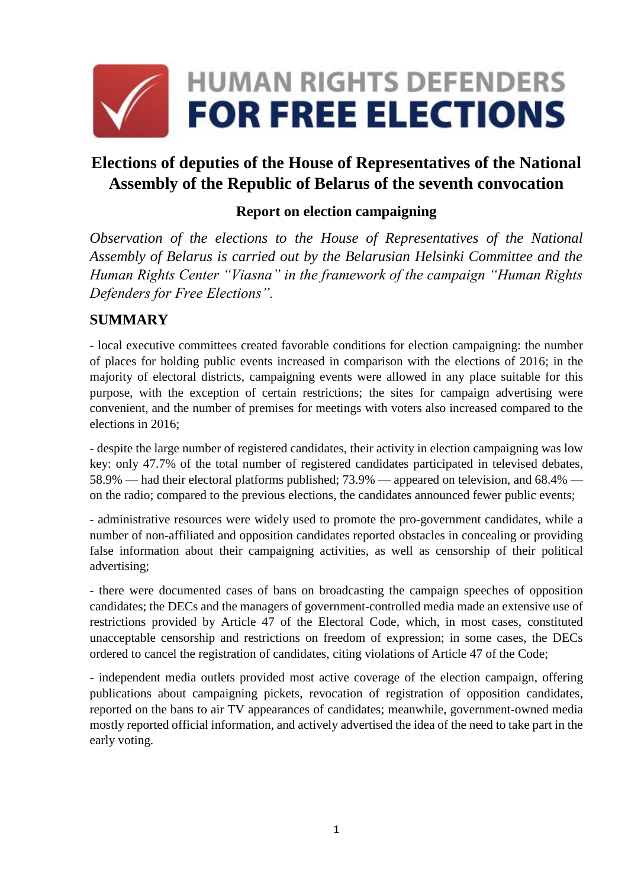

# **Elections of deputies of the House of Representatives of the National Assembly of the Republic of Belarus of the seventh convocation**

#### **Report on election campaigning**

*Observation of the elections to the House of Representatives of the National Assembly of Belarus is carried out by the Belarusian Helsinki Committee and the Human Rights Center "Viasna" in the framework of the campaign "Human Rights Defenders for Free Elections".*

#### **SUMMARY**

- local executive committees created favorable conditions for election campaigning: the number of places for holding public events increased in comparison with the elections of 2016; in the majority of electoral districts, campaigning events were allowed in any place suitable for this purpose, with the exception of certain restrictions; the sites for campaign advertising were convenient, and the number of premises for meetings with voters also increased compared to the elections in 2016;

- despite the large number of registered candidates, their activity in election campaigning was low key: only 47.7% of the total number of registered candidates participated in televised debates, 58.9% — had their electoral platforms published; 73.9% — appeared on television, and 68.4% on the radio; compared to the previous elections, the candidates announced fewer public events;

- administrative resources were widely used to promote the pro-government candidates, while a number of non-affiliated and opposition candidates reported obstacles in concealing or providing false information about their campaigning activities, as well as censorship of their political advertising;

- there were documented cases of bans on broadcasting the campaign speeches of opposition candidates; the DECs and the managers of government-controlled media made an extensive use of restrictions provided by Article 47 of the Electoral Code, which, in most cases, constituted unacceptable censorship and restrictions on freedom of expression; in some cases, the DECs ordered to cancel the registration of candidates, citing violations of Article 47 of the Code;

- independent media outlets provided most active coverage of the election campaign, offering publications about campaigning pickets, revocation of registration of opposition candidates, reported on the bans to air TV appearances of candidates; meanwhile, government-owned media mostly reported official information, and actively advertised the idea of the need to take part in the early voting.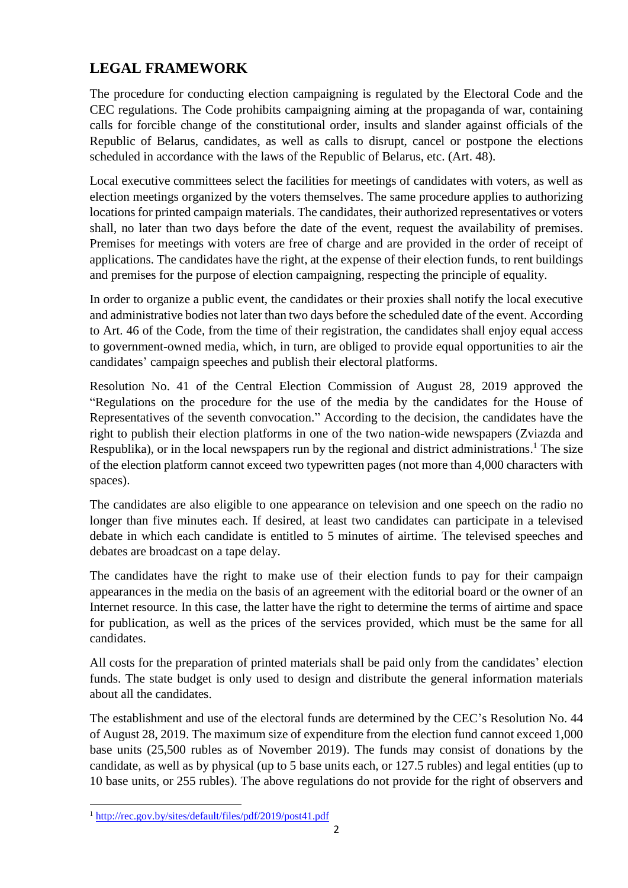## **LEGAL FRAMEWORK**

The procedure for conducting election campaigning is regulated by the Electoral Code and the CEC regulations. The Code prohibits campaigning aiming at the propaganda of war, containing calls for forcible change of the constitutional order, insults and slander against officials of the Republic of Belarus, candidates, as well as calls to disrupt, cancel or postpone the elections scheduled in accordance with the laws of the Republic of Belarus, etc. (Art. 48).

Local executive committees select the facilities for meetings of candidates with voters, as well as election meetings organized by the voters themselves. The same procedure applies to authorizing locations for printed campaign materials. The candidates, their authorized representatives or voters shall, no later than two days before the date of the event, request the availability of premises. Premises for meetings with voters are free of charge and are provided in the order of receipt of applications. The candidates have the right, at the expense of their election funds, to rent buildings and premises for the purpose of election campaigning, respecting the principle of equality.

In order to organize a public event, the candidates or their proxies shall notify the local executive and administrative bodies not later than two days before the scheduled date of the event. According to Art. 46 of the Code, from the time of their registration, the candidates shall enjoy equal access to government-owned media, which, in turn, are obliged to provide equal opportunities to air the candidates' campaign speeches and publish their electoral platforms.

Resolution No. 41 of the Central Election Commission of August 28, 2019 approved the "Regulations on the procedure for the use of the media by the candidates for the House of Representatives of the seventh convocation." According to the decision, the candidates have the right to publish their election platforms in one of the two nation-wide newspapers (Zviazda and Respublika), or in the local newspapers run by the regional and district administrations.<sup>1</sup> The size of the election platform cannot exceed two typewritten pages (not more than 4,000 characters with spaces).

The candidates are also eligible to one appearance on television and one speech on the radio no longer than five minutes each. If desired, at least two candidates can participate in a televised debate in which each candidate is entitled to 5 minutes of airtime. The televised speeches and debates are broadcast on a tape delay.

The candidates have the right to make use of their election funds to pay for their campaign appearances in the media on the basis of an agreement with the editorial board or the owner of an Internet resource. In this case, the latter have the right to determine the terms of airtime and space for publication, as well as the prices of the services provided, which must be the same for all candidates.

All costs for the preparation of printed materials shall be paid only from the candidates' election funds. The state budget is only used to design and distribute the general information materials about all the candidates.

The establishment and use of the electoral funds are determined by the CEC's Resolution No. 44 of August 28, 2019. The maximum size of expenditure from the election fund cannot exceed 1,000 base units (25,500 rubles as of November 2019). The funds may consist of donations by the candidate, as well as by physical (up to 5 base units each, or 127.5 rubles) and legal entities (up to 10 base units, or 255 rubles). The above regulations do not provide for the right of observers and

 $\overline{a}$ <sup>1</sup> <http://rec.gov.by/sites/default/files/pdf/2019/post41.pdf>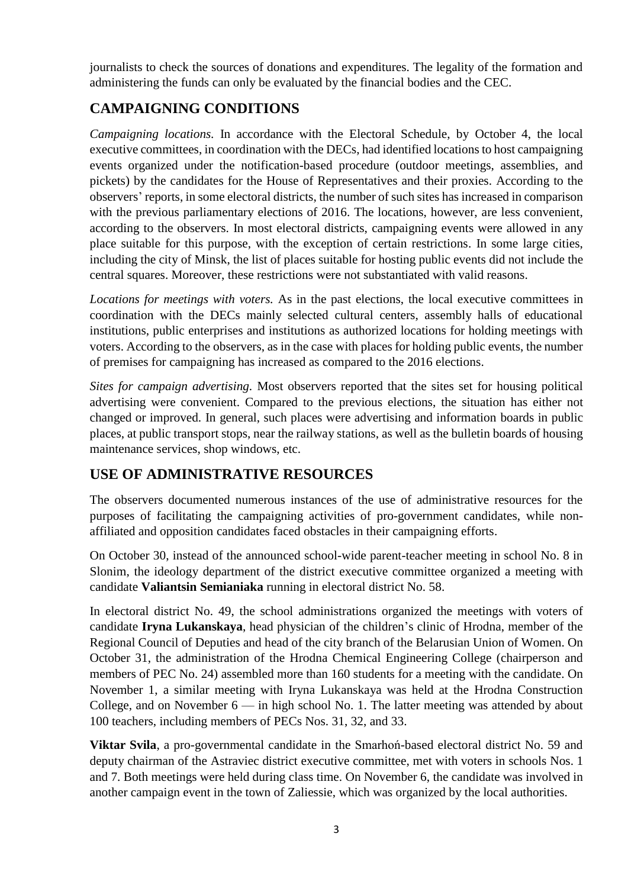journalists to check the sources of donations and expenditures. The legality of the formation and administering the funds can only be evaluated by the financial bodies and the CEC.

## **CAMPAIGNING CONDITIONS**

*Campaigning locations.* In accordance with the Electoral Schedule, by October 4, the local executive committees, in coordination with the DECs, had identified locations to host campaigning events organized under the notification-based procedure (outdoor meetings, assemblies, and pickets) by the candidates for the House of Representatives and their proxies. According to the observers' reports, in some electoral districts, the number of such sites has increased in comparison with the previous parliamentary elections of 2016. The locations, however, are less convenient, according to the observers. In most electoral districts, campaigning events were allowed in any place suitable for this purpose, with the exception of certain restrictions. In some large cities, including the city of Minsk, the list of places suitable for hosting public events did not include the central squares. Moreover, these restrictions were not substantiated with valid reasons.

*Locations for meetings with voters.* As in the past elections, the local executive committees in coordination with the DECs mainly selected cultural centers, assembly halls of educational institutions, public enterprises and institutions as authorized locations for holding meetings with voters. According to the observers, as in the case with places for holding public events, the number of premises for campaigning has increased as compared to the 2016 elections.

*Sites for campaign advertising.* Most observers reported that the sites set for housing political advertising were convenient. Compared to the previous elections, the situation has either not changed or improved. In general, such places were advertising and information boards in public places, at public transport stops, near the railway stations, as well as the bulletin boards of housing maintenance services, shop windows, etc.

### **USE OF ADMINISTRATIVE RESOURCES**

The observers documented numerous instances of the use of administrative resources for the purposes of facilitating the campaigning activities of pro-government candidates, while nonaffiliated and opposition candidates faced obstacles in their campaigning efforts.

On October 30, instead of the announced school-wide parent-teacher meeting in school No. 8 in Slonim, the ideology department of the district executive committee organized a meeting with candidate **Valiantsin Semianiaka** running in electoral district No. 58.

In electoral district No. 49, the school administrations organized the meetings with voters of candidate **Iryna Lukanskaya**, head physician of the children's clinic of Hrodna, member of the Regional Council of Deputies and head of the city branch of the Belarusian Union of Women. On October 31, the administration of the Hrodna Chemical Engineering College (chairperson and members of PEC No. 24) assembled more than 160 students for a meeting with the candidate. On November 1, a similar meeting with Iryna Lukanskaya was held at the Hrodna Construction College, and on November  $6$  — in high school No. 1. The latter meeting was attended by about 100 teachers, including members of PECs Nos. 31, 32, and 33.

**Viktar Svila**, a pro-governmental candidate in the Smarhoń-based electoral district No. 59 and deputy chairman of the Astraviec district executive committee, met with voters in schools Nos. 1 and 7. Both meetings were held during class time. On November 6, the candidate was involved in another campaign event in the town of Zaliessie, which was organized by the local authorities.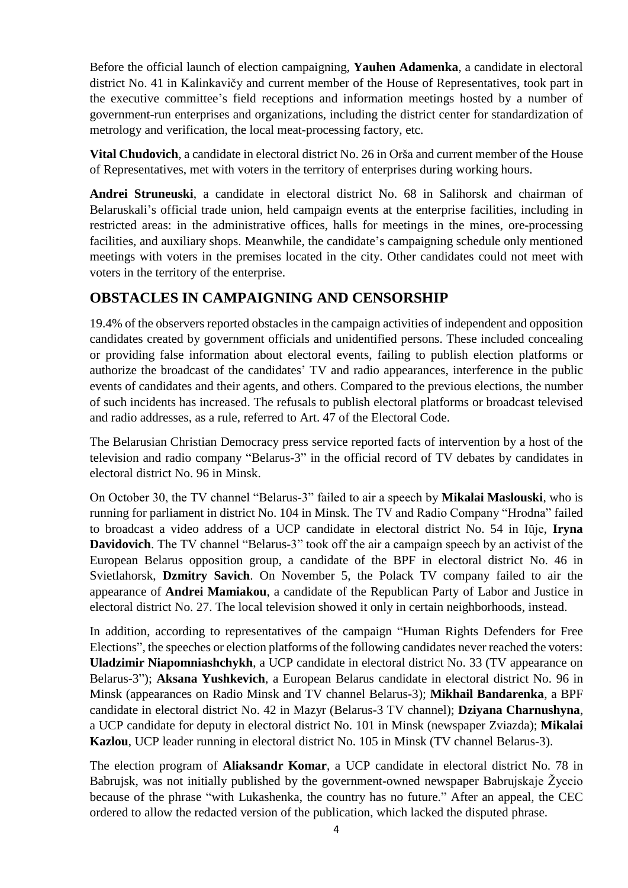Before the official launch of election campaigning, **Yauhen Adamenka**, a candidate in electoral district No. 41 in Kalinkavičy and current member of the House of Representatives, took part in the executive committee's field receptions and information meetings hosted by a number of government-run enterprises and organizations, including the district center for standardization of metrology and verification, the local meat-processing factory, etc.

**Vital Chudovich**, a candidate in electoral district No. 26 in Orša and current member of the House of Representatives, met with voters in the territory of enterprises during working hours.

**Andrei Struneuski**, a candidate in electoral district No. 68 in Salihorsk and chairman of Belaruskali's official trade union, held campaign events at the enterprise facilities, including in restricted areas: in the administrative offices, halls for meetings in the mines, ore-processing facilities, and auxiliary shops. Meanwhile, the candidate's campaigning schedule only mentioned meetings with voters in the premises located in the city. Other candidates could not meet with voters in the territory of the enterprise.

### **OBSTACLES IN CAMPAIGNING AND CENSORSHIP**

19.4% of the observers reported obstacles in the campaign activities of independent and opposition candidates created by government officials and unidentified persons. These included concealing or providing false information about electoral events, failing to publish election platforms or authorize the broadcast of the candidates' TV and radio appearances, interference in the public events of candidates and their agents, and others. Compared to the previous elections, the number of such incidents has increased. The refusals to publish electoral platforms or broadcast televised and radio addresses, as a rule, referred to Art. 47 of the Electoral Code.

The Belarusian Christian Democracy press service reported facts of intervention by a host of the television and radio company "Belarus-3" in the official record of TV debates by candidates in electoral district No. 96 in Minsk.

On October 30, the TV channel "Belarus-3" failed to air a speech by **Mikalai Maslouski**, who is running for parliament in district No. 104 in Minsk. The TV and Radio Company "Hrodna" failed to broadcast a video address of a UCP candidate in electoral district No. 54 in Iŭje, **Iryna Davidovich**. The TV channel "Belarus-3" took off the air a campaign speech by an activist of the European Belarus opposition group, a candidate of the BPF in electoral district No. 46 in Svietlahorsk, **Dzmitry Savich**. On November 5, the Polack TV company failed to air the appearance of **Andrei Mamiakou**, a candidate of the Republican Party of Labor and Justice in electoral district No. 27. The local television showed it only in certain neighborhoods, instead.

In addition, according to representatives of the campaign "Human Rights Defenders for Free Elections", the speeches or election platforms of the following candidates never reached the voters: **Uladzimir Niapomniashchykh**, a UCP candidate in electoral district No. 33 (TV appearance on Belarus-3"); **Aksana Yushkevich**, a European Belarus candidate in electoral district No. 96 in Minsk (appearances on Radio Minsk and TV channel Belarus-3); **Mikhail Bandarenka**, a BPF candidate in electoral district No. 42 in Mazyr (Belarus-3 TV channel); **Dziyana Charnushyna**, a UCP candidate for deputy in electoral district No. 101 in Minsk (newspaper Zviazda); **Mikalai Kazlou**, UCP leader running in electoral district No. 105 in Minsk (TV channel Belarus-3).

The election program of **Aliaksandr Komar**, a UCP candidate in electoral district No. 78 in Babrujsk, was not initially published by the government-owned newspaper Babrujskaje Žyccio because of the phrase "with Lukashenka, the country has no future." After an appeal, the CEC ordered to allow the redacted version of the publication, which lacked the disputed phrase.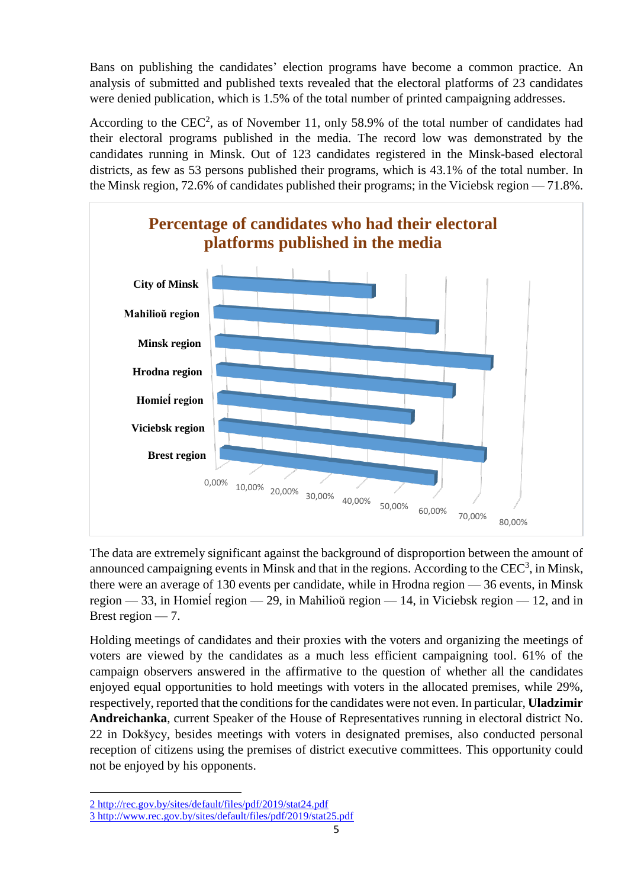Bans on publishing the candidates' election programs have become a common practice. An analysis of submitted and published texts revealed that the electoral platforms of 23 candidates were denied publication, which is 1.5% of the total number of printed campaigning addresses.

According to the  $CEC<sup>2</sup>$ , as of November 11, only 58.9% of the total number of candidates had their electoral programs published in the media. The record low was demonstrated by the candidates running in Minsk. Out of 123 candidates registered in the Minsk-based electoral districts, as few as 53 persons published their programs, which is 43.1% of the total number. In the Minsk region, 72.6% of candidates published their programs; in the Viciebsk region — 71.8%.



The data are extremely significant against the background of disproportion between the amount of announced campaigning events in Minsk and that in the regions. According to the  $CEC<sup>3</sup>$ , in Minsk, there were an average of 130 events per candidate, while in Hrodna region — 36 events, in Minsk region — 33, in Homieĺ region — 29, in Mahilioŭ region — 14, in Viciebsk region — 12, and in Brest region — 7.

Holding meetings of candidates and their proxies with the voters and organizing the meetings of voters are viewed by the candidates as a much less efficient campaigning tool. 61% of the campaign observers answered in the affirmative to the question of whether all the candidates enjoyed equal opportunities to hold meetings with voters in the allocated premises, while 29%, respectively, reported that the conditions for the candidates were not even. In particular, **Uladzimir Andreichanka**, current Speaker of the House of Representatives running in electoral district No. 22 in Dokšycy, besides meetings with voters in designated premises, also conducted personal reception of citizens using the premises of district executive committees. This opportunity could not be enjoyed by his opponents.

**.** 

<sup>2</sup> <http://rec.gov.by/sites/default/files/pdf/2019/stat24.pdf>

<sup>3</sup> <http://www.rec.gov.by/sites/default/files/pdf/2019/stat25.pdf>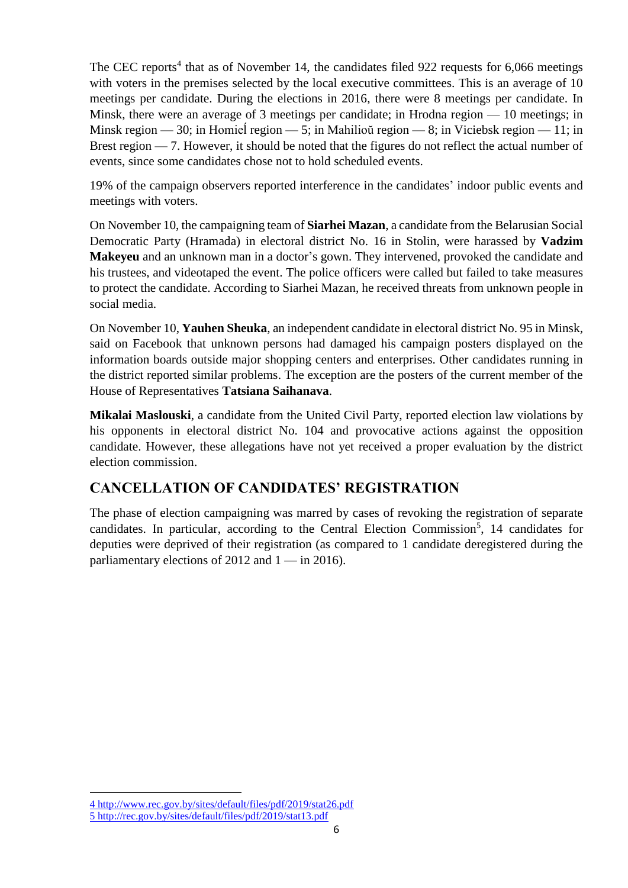The CEC reports<sup>4</sup> that as of November 14, the candidates filed 922 requests for 6,066 meetings with voters in the premises selected by the local executive committees. This is an average of 10 meetings per candidate. During the elections in 2016, there were 8 meetings per candidate. In Minsk, there were an average of 3 meetings per candidate; in Hrodna region — 10 meetings; in Minsk region — 30; in Homieĺ region — 5; in Mahilioŭ region — 8; in Viciebsk region — 11; in Brest region — 7. However, it should be noted that the figures do not reflect the actual number of events, since some candidates chose not to hold scheduled events.

19% of the campaign observers reported interference in the candidates' indoor public events and meetings with voters.

On November 10, the campaigning team of **Siarhei Mazan**, a candidate from the Belarusian Social Democratic Party (Hramada) in electoral district No. 16 in Stolin, were harassed by **Vadzim Makeyeu** and an unknown man in a doctor's gown. They intervened, provoked the candidate and his trustees, and videotaped the event. The police officers were called but failed to take measures to protect the candidate. According to Siarhei Mazan, he received threats from unknown people in social media.

On November 10, **Yauhen Sheuka**, an independent candidate in electoral district No. 95 in Minsk, said on Facebook that unknown persons had damaged his campaign posters displayed on the information boards outside major shopping centers and enterprises. Other candidates running in the district reported similar problems. The exception are the posters of the current member of the House of Representatives **Tatsiana Saihanava**.

**Mikalai Maslouski**, a candidate from the United Civil Party, reported election law violations by his opponents in electoral district No. 104 and provocative actions against the opposition candidate. However, these allegations have not yet received a proper evaluation by the district election commission.

### **CANCELLATION OF CANDIDATES' REGISTRATION**

The phase of election campaigning was marred by cases of revoking the registration of separate candidates. In particular, according to the Central Election Commission<sup>5</sup>, 14 candidates for deputies were deprived of their registration (as compared to 1 candidate deregistered during the parliamentary elections of 2012 and  $1 -$  in 2016).

**.** 

<sup>4</sup> <http://www.rec.gov.by/sites/default/files/pdf/2019/stat26.pdf> 5 <http://rec.gov.by/sites/default/files/pdf/2019/stat13.pdf>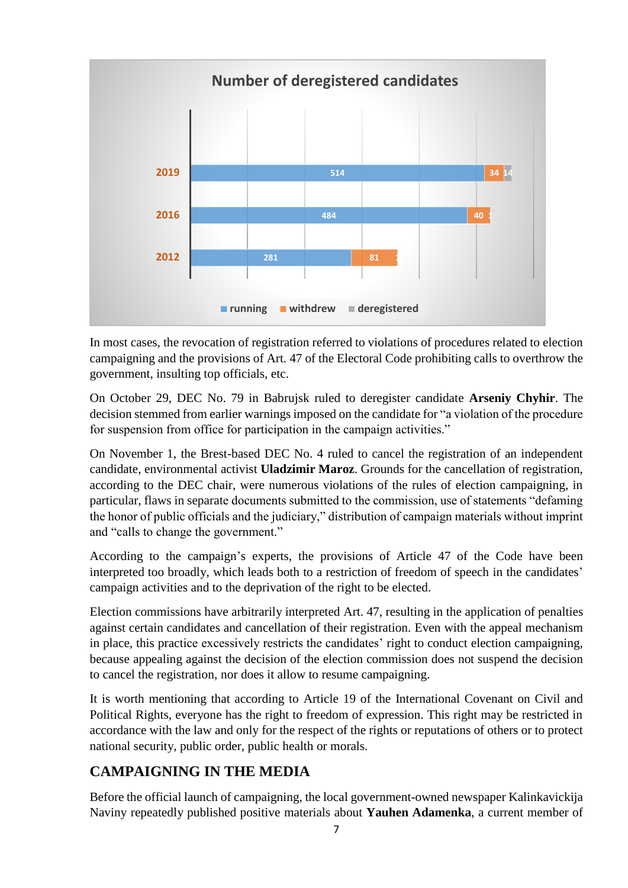

In most cases, the revocation of registration referred to violations of procedures related to election campaigning and the provisions of Art. 47 of the Electoral Code prohibiting calls to overthrow the government, insulting top officials, etc.

On October 29, DEC No. 79 in Babrujsk ruled to deregister candidate **Arseniy Chyhir**. The decision stemmed from earlier warnings imposed on the candidate for "a violation of the procedure for suspension from office for participation in the campaign activities."

On November 1, the Brest-based DEC No. 4 ruled to cancel the registration of an independent candidate, environmental activist **Uladzimir Maroz**. Grounds for the cancellation of registration, according to the DEC chair, were numerous violations of the rules of election campaigning, in particular, flaws in separate documents submitted to the commission, use of statements "defaming the honor of public officials and the judiciary," distribution of campaign materials without imprint and "calls to change the government."

According to the campaign's experts, the provisions of Article 47 of the Code have been interpreted too broadly, which leads both to a restriction of freedom of speech in the candidates' campaign activities and to the deprivation of the right to be elected.

Election commissions have arbitrarily interpreted Art. 47, resulting in the application of penalties against certain candidates and cancellation of their registration. Even with the appeal mechanism in place, this practice excessively restricts the candidates' right to conduct election campaigning, because appealing against the decision of the election commission does not suspend the decision to cancel the registration, nor does it allow to resume campaigning.

It is worth mentioning that according to Article 19 of the International Covenant on Civil and Political Rights, everyone has the right to freedom of expression. This right may be restricted in accordance with the law and only for the respect of the rights or reputations of others or to protect national security, public order, public health or morals.

# **CAMPAIGNING IN THE MEDIA**

Before the official launch of campaigning, the local government-owned newspaper Kalinkavickija Naviny repeatedly published positive materials about **Yauhen Adamenka**, a current member of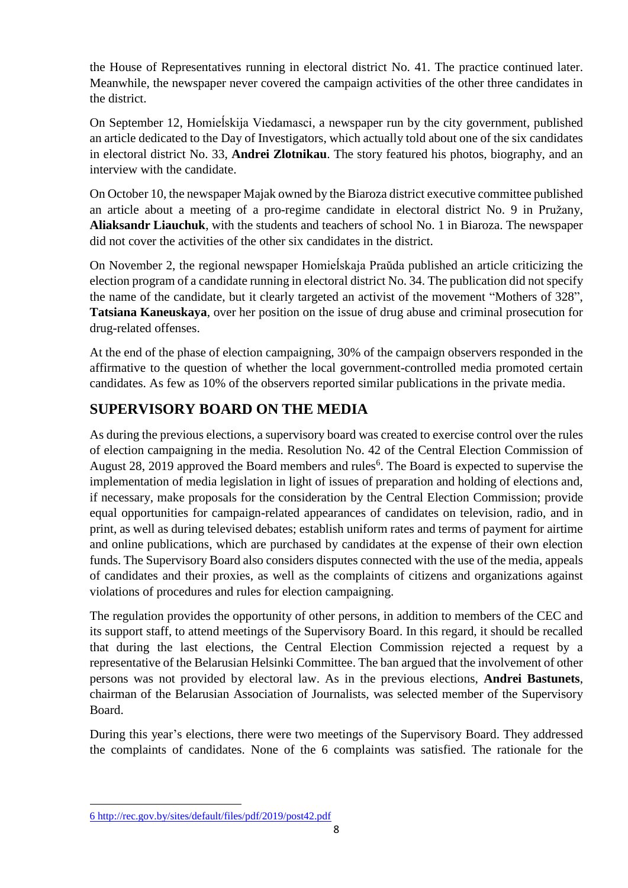the House of Representatives running in electoral district No. 41. The practice continued later. Meanwhile, the newspaper never covered the campaign activities of the other three candidates in the district.

On September 12, Homieĺskija Viedamasci, a newspaper run by the city government, published an article dedicated to the Day of Investigators, which actually told about one of the six candidates in electoral district No. 33, **Andrei Zlotnikau**. The story featured his photos, biography, and an interview with the candidate.

On October 10, the newspaper Majak owned by the Biaroza district executive committee published an article about a meeting of a pro-regime candidate in electoral district No. 9 in Pružany, **Aliaksandr Liauchuk**, with the students and teachers of school No. 1 in Biaroza. The newspaper did not cover the activities of the other six candidates in the district.

On November 2, the regional newspaper Homieĺskaja Praŭda published an article criticizing the election program of a candidate running in electoral district No. 34. The publication did not specify the name of the candidate, but it clearly targeted an activist of the movement "Mothers of 328", **Tatsiana Kaneuskaya**, over her position on the issue of drug abuse and criminal prosecution for drug-related offenses.

At the end of the phase of election campaigning, 30% of the campaign observers responded in the affirmative to the question of whether the local government-controlled media promoted certain candidates. As few as 10% of the observers reported similar publications in the private media.

## **SUPERVISORY BOARD ON THE MEDIA**

As during the previous elections, a supervisory board was created to exercise control over the rules of election campaigning in the media. Resolution No. 42 of the Central Election Commission of August 28, 2019 approved the Board members and rules<sup>6</sup>. The Board is expected to supervise the implementation of media legislation in light of issues of preparation and holding of elections and, if necessary, make proposals for the consideration by the Central Election Commission; provide equal opportunities for campaign-related appearances of candidates on television, radio, and in print, as well as during televised debates; establish uniform rates and terms of payment for airtime and online publications, which are purchased by candidates at the expense of their own election funds. The Supervisory Board also considers disputes connected with the use of the media, appeals of candidates and their proxies, as well as the complaints of citizens and organizations against violations of procedures and rules for election campaigning.

The regulation provides the opportunity of other persons, in addition to members of the CEC and its support staff, to attend meetings of the Supervisory Board. In this regard, it should be recalled that during the last elections, the Central Election Commission rejected a request by a representative of the Belarusian Helsinki Committee. The ban argued that the involvement of other persons was not provided by electoral law. As in the previous elections, **Andrei Bastunets**, chairman of the Belarusian Association of Journalists, was selected member of the Supervisory Board.

During this year's elections, there were two meetings of the Supervisory Board. They addressed the complaints of candidates. None of the 6 complaints was satisfied. The rationale for the

 $\overline{a}$ 6 <http://rec.gov.by/sites/default/files/pdf/2019/post42.pdf>